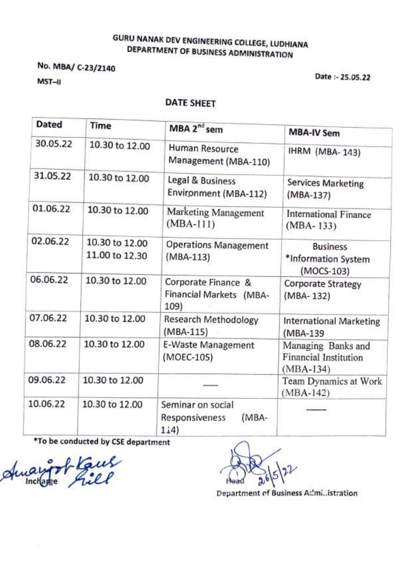## **GURU NANAK DEV ENGINEERING COLLEGE, LUDHIANA** DEPARTMENT OF BUSINESS ADMINISTRATION

No. MBA/ C-23/2140

MST-II

Date: - 25.05.22

### **DATE SHEET**

| <b>Dated</b> | Time                             | MBA 2 <sup>nd</sup> sem                                | <b>MBA-IV Sem</b>                                          |
|--------------|----------------------------------|--------------------------------------------------------|------------------------------------------------------------|
| 30.05.22     | 10.30 to 12.00                   | Human Resource<br>Management (MBA-110)                 | <b>IHRM (MBA-143)</b>                                      |
| 31.05.22     | 10.30 to 12.00                   | Legal & Business<br>Environment (MBA-112)              | Services Marketing<br>(MBA-137)                            |
| 01.06.22     | 10.30 to 12.00                   | Marketing Management<br>$(MBA-111)$                    | <b>International Finance</b><br>$(MBA-133)$                |
| 02.06.22     | 10.30 to 12.00<br>11.00 to 12.30 | <b>Operations Management</b><br>$(MBA-113)$            | <b>Business</b><br>*Information System<br>(MOCS-103)       |
| 06.06.22     | 10.30 to 12.00                   | Corporate Finance &<br>Financial Markets (MBA-<br>109) | <b>Corporate Strategy</b><br>(MBA-132)                     |
| 07.06.22     | 10.30 to 12.00                   | Research Methodology<br>$(MBA-115)$                    | <b>International Marketing</b><br>(MBA-139                 |
| 08.06.22     | 10.30 to 12.00                   | E-Waste Management<br>(MOEC-105)                       | Managing Banks and<br>Financial Institution<br>$(MBA-134)$ |
| 09.06.22     | 10.30 to 12.00                   |                                                        | Team Dynamics at Work<br>$(MBA-142)$                       |
| 10.06.22     | 10.30 to 12.00                   | Seminar on social<br>(MBA-<br>Responsiveness<br>1i4)   |                                                            |

\*To be conducted by CSE department

Amargot Kaus

Department of Business Admi..istration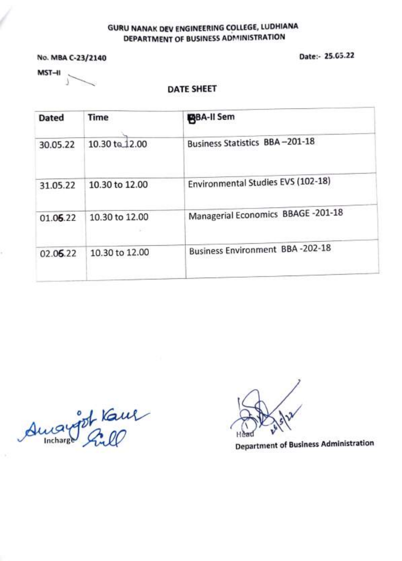### GURU NANAK DEV ENGINEERING COLLEGE, LUDHIANA DEPARTMENT OF BUSINESS ADMINISTRATION

No. MBA C-23/2140

Date:- 25.05.22

 $MST-H$ 

#### DATE SHEET

| <b>Dated</b> | <b>Time</b>          | <b>PBA-II Sem</b>                      |
|--------------|----------------------|----------------------------------------|
| 30.05.22     | 10.30 to 12.00       | Business Statistics BBA-201-18         |
| 31.05.22     | 10.30 to 12.00       | Environmental Studies EVS (102-18)     |
| 01.06.22     | 10.30 to 12.00<br>s. | Managerial Economics BBAGE -201-18     |
| 02.06.22     | 10.30 to 12.00       | <b>Business Environment BBA-202-18</b> |

Amangot Kame

 $\sqrt{2}$ \ H

**Department of Business Administration**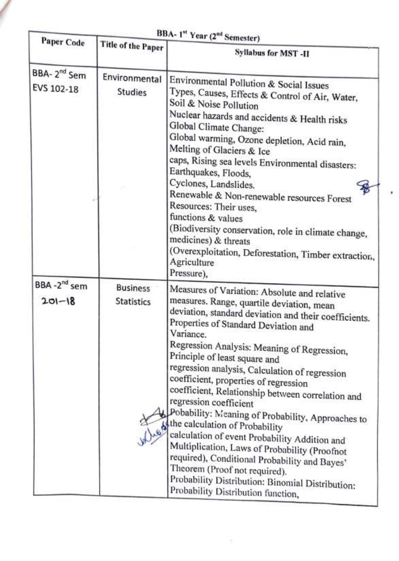| BBA- 1st Year (2 <sup>nd</sup> Semester)                                      |                                 |                                                                                                                                                                                                                                                                                                                                                                                                                                                                                                                                                                                                                                                                                                                                                                                                                                        |
|-------------------------------------------------------------------------------|---------------------------------|----------------------------------------------------------------------------------------------------------------------------------------------------------------------------------------------------------------------------------------------------------------------------------------------------------------------------------------------------------------------------------------------------------------------------------------------------------------------------------------------------------------------------------------------------------------------------------------------------------------------------------------------------------------------------------------------------------------------------------------------------------------------------------------------------------------------------------------|
| <b>Paper Code</b>                                                             | Title of the Paper              | Syllabus for MST-II                                                                                                                                                                                                                                                                                                                                                                                                                                                                                                                                                                                                                                                                                                                                                                                                                    |
| BBA-2 <sup>nd</sup> Sem<br>EVS 102-18                                         | Environmental<br><b>Studies</b> | Environmental Pollution & Social Issues<br>Types, Causes, Effects & Control of Air, Water,<br>Soil & Noise Pollution<br>Nuclear hazards and accidents & Health risks<br>Global Climate Change:<br>Global warming, Ozone depletion, Acid rain,<br>Melting of Glaciers & Ice<br>caps, Rising sea levels Environmental disasters:<br>Earthquakes, Floods,<br>Cyclones, Landslides.<br>Renewable & Non-renewable resources Forest<br>Resources: Their uses,<br>functions & values<br>(Biodiversity conservation, role in climate change,<br>medicines) & threats<br>(Overexploitation, Deforestation, Timber extraction,<br>Agriculture<br>Pressure),                                                                                                                                                                                      |
| BBA-2 <sup>nd</sup> sem<br><b>Business</b><br>$201 - 18$<br><b>Statistics</b> |                                 | Measures of Variation: Absolute and relative<br>measures. Range, quartile deviation, mean<br>deviation, standard deviation and their coefficients.<br>Properties of Standard Deviation and<br>Variance.<br>Regression Analysis: Meaning of Regression,<br>Principle of least square and<br>regression analysis, Calculation of regression<br>coefficient, properties of regression<br>coefficient, Relationship between correlation and<br>regression coefficient<br>Pobability: Meaning of Probability, Approaches to<br>the calculation of Probability<br>calculation of event Probability Addition and<br>Multiplication, Laws of Probability (Proofnot<br>required), Conditional Probability and Bayes'<br>Theorem (Proof not required).<br>Probability Distribution: Binomial Distribution:<br>Probability Distribution function, |

 $\left(\frac{1}{\alpha}\right)$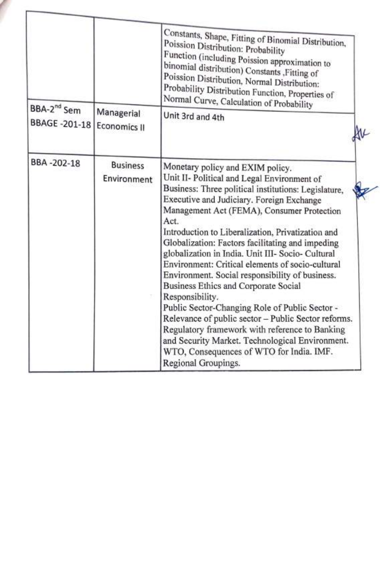|                                          |                                | Constants, Shape, Fitting of Binomial Distribution,<br>Poission Distribution: Probability<br>Function (including Poission approximation to<br>binomial distribution) Constants ,Fitting of<br>Poission Distribution, Normal Distribution:<br>Probability Distribution Function, Properties of<br>Normal Curve, Calculation of Probability                                                                                                                                                                                                                                                                                                                                                                                                                                                                                                                   |
|------------------------------------------|--------------------------------|-------------------------------------------------------------------------------------------------------------------------------------------------------------------------------------------------------------------------------------------------------------------------------------------------------------------------------------------------------------------------------------------------------------------------------------------------------------------------------------------------------------------------------------------------------------------------------------------------------------------------------------------------------------------------------------------------------------------------------------------------------------------------------------------------------------------------------------------------------------|
| BBA-2 <sup>nd</sup> Sem<br>BBAGE -201-18 | Managerial<br>Economics II     | Unit 3rd and 4th                                                                                                                                                                                                                                                                                                                                                                                                                                                                                                                                                                                                                                                                                                                                                                                                                                            |
| BBA-202-18                               | <b>Business</b><br>Environment | Monetary policy and EXIM policy.<br>Unit II- Political and Legal Environment of<br>Business: Three political institutions: Legislature,<br>Executive and Judiciary. Foreign Exchange<br>Management Act (FEMA), Consumer Protection<br>Act.<br>Introduction to Liberalization, Privatization and<br>Globalization: Factors facilitating and impeding<br>globalization in India. Unit III- Socio- Cultural<br>Environment: Critical elements of socio-cultural<br>Environment. Social responsibility of business.<br>Business Ethics and Corporate Social<br>Responsibility.<br>Public Sector-Changing Role of Public Sector -<br>Relevance of public sector - Public Sector reforms.<br>Regulatory framework with reference to Banking<br>and Security Market. Technological Environment.<br>WTO, Consequences of WTO for India. IMF.<br>Regional Groupings. |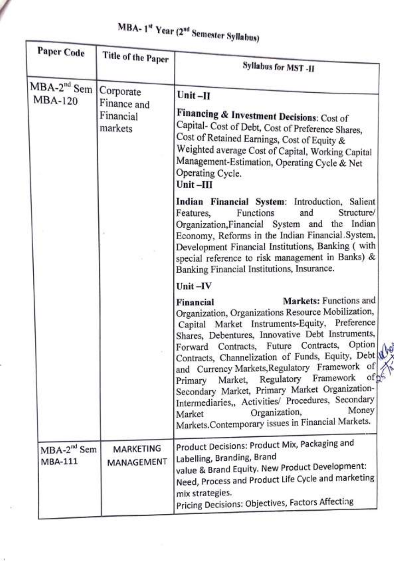| <b>Paper Code</b>                            | Title of the Paper                  | Syllabus for MST -II                                                                                                                                                                                                                                                                                                                                                                                                                                                                                                                                                                                    |
|----------------------------------------------|-------------------------------------|---------------------------------------------------------------------------------------------------------------------------------------------------------------------------------------------------------------------------------------------------------------------------------------------------------------------------------------------------------------------------------------------------------------------------------------------------------------------------------------------------------------------------------------------------------------------------------------------------------|
| MBA-2 <sup>nd</sup> Sem Corporate<br>MBA-120 | Finance and<br>Financial<br>markets | $Unit - II$<br>Financing & Investment Decisions: Cost of<br>Capital- Cost of Debt, Cost of Preference Shares,<br>Cost of Retained Earnings, Cost of Equity &<br>Weighted average Cost of Capital, Working Capital<br>Management-Estimation, Operating Cycle & Net<br>Operating Cycle.<br>Unit-III                                                                                                                                                                                                                                                                                                       |
|                                              |                                     | Indian Financial System: Introduction, Salient<br>Structure/<br>Features,<br>Functions<br>and<br>Organization, Financial System and the Indian<br>Economy, Reforms in the Indian Financial System,<br>Development Financial Institutions, Banking (with<br>special reference to risk management in Banks) &<br>Banking Financial Institutions, Insurance.<br>Unit-IV                                                                                                                                                                                                                                    |
|                                              |                                     | Markets: Functions and<br>Financial<br>Organization, Organizations Resource Mobilization,<br>Capital Market Instruments-Equity, Preference<br>Shares, Debentures, Innovative Debt Instruments,<br>Forward Contracts, Future Contracts, Option<br>Contracts, Channelization of Funds, Equity, Debt &<br>and Currency Markets, Regulatory Framework of<br>oft<br>Market, Regulatory Framework<br>Primary<br>Secondary Market, Primary Market Organization-<br>Intermediaries,, Activities/ Procedures, Secondary<br>Money<br>Organization,<br>Market<br>Markets.Contemporary issues in Financial Markets. |
| MBA-2 <sup>nd</sup> Sem<br>MBA-111           | MARKETING<br>MANAGEMENT             | Product Decisions: Product Mix, Packaging and<br>Labelling, Branding, Brand<br>value & Brand Equity. New Product Development:<br>Need, Process and Product Life Cycle and marketing<br>mix strategies.<br>Pricing Decisions: Objectives, Factors Affecting                                                                                                                                                                                                                                                                                                                                              |

 $\mathcal{C}$ 

# MBA-1st Year (2nd Semester Syllabus)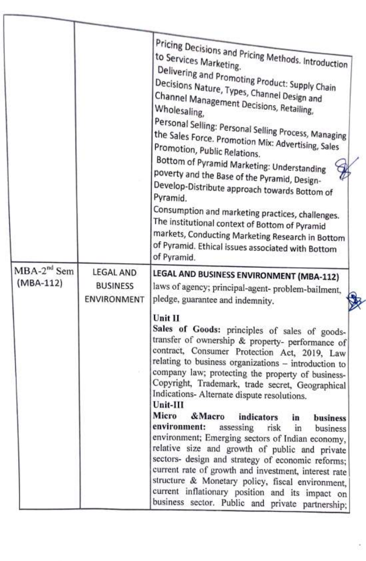|                            |                                                    | Pricing Decisions and Pricing Methods. Introduction<br>Delivering and Promoting Product: Supply Chain<br>Decisions Nature, Types, Channel Design and<br>Channel Management Decisions, Retailing,<br>Wholesaling,<br>Personal Selling: Personal Selling Process, Managing<br>the Sales Force. Promotion Mix: Advertising, Sales<br>Promotion, Public Relations.<br>Bottom of Pyramid Marketing: Understanding<br>poverty and the Base of the Pyramid, Design-<br>Develop-Distribute approach towards Bottom of<br>Pyramid.<br>Consumption and marketing practices, challenges.<br>The institutional context of Bottom of Pyramid<br>markets, Conducting Marketing Research in Bottom<br>of Pyramid. Ethical issues associated with Bottom<br>of Pyramid. |
|----------------------------|----------------------------------------------------|---------------------------------------------------------------------------------------------------------------------------------------------------------------------------------------------------------------------------------------------------------------------------------------------------------------------------------------------------------------------------------------------------------------------------------------------------------------------------------------------------------------------------------------------------------------------------------------------------------------------------------------------------------------------------------------------------------------------------------------------------------|
| $MBA-2nd$ Sem<br>(MBA-112) | LEGAL AND<br><b>BUSINESS</b><br><b>ENVIRONMENT</b> | LEGAL AND BUSINESS ENVIRONMENT (MBA-112)<br>laws of agency; principal-agent- problem-bailment,<br>pledge, guarantee and indemnity.                                                                                                                                                                                                                                                                                                                                                                                                                                                                                                                                                                                                                      |
|                            |                                                    | Unit II<br>Sales of Goods: principles of sales of goods-<br>transfer of ownership & property- performance of<br>contract, Consumer Protection Act, 2019, Law<br>relating to business organizations - introduction to<br>company law; protecting the property of business-<br>Copyright, Trademark, trade secret, Geographical<br>Indications- Alternate dispute resolutions.<br>Unit-III                                                                                                                                                                                                                                                                                                                                                                |
|                            |                                                    | Micro<br>& Macro<br>indicators<br>business<br>in<br>environment:<br>assessing risk<br>in<br>business<br>environment; Emerging sectors of Indian economy,<br>relative size and growth of public and private<br>sectors- design and strategy of economic reforms;<br>current rate of growth and investment, interest rate<br>structure & Monetary policy, fiscal environment,<br>current inflationary position and its impact on<br>business sector. Public and private partnership;                                                                                                                                                                                                                                                                      |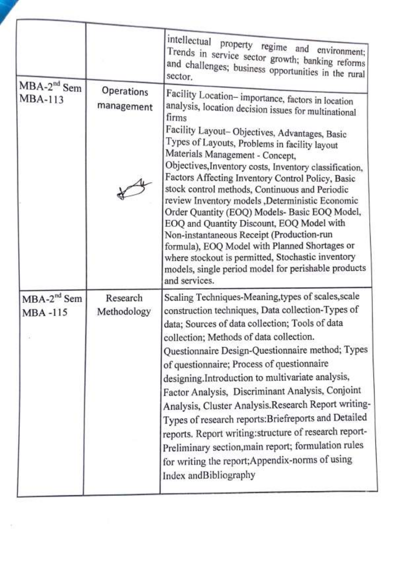|                                    |                          | intellectual property regime and environment;<br>Trends in service sector growth; banking reforms<br>and challenges; business opportunities in the rural                                                                                                                                                                                                                                                                                                                                                                                                                                                                                                                                                                                                                                             |
|------------------------------------|--------------------------|------------------------------------------------------------------------------------------------------------------------------------------------------------------------------------------------------------------------------------------------------------------------------------------------------------------------------------------------------------------------------------------------------------------------------------------------------------------------------------------------------------------------------------------------------------------------------------------------------------------------------------------------------------------------------------------------------------------------------------------------------------------------------------------------------|
| MBA-2 <sup>nd</sup> Sem<br>MBA-113 | Operations<br>management | Facility Location-importance, factors in location<br>analysis, location decision issues for multinational<br>firms<br>Facility Layout-Objectives, Advantages, Basic<br>Types of Layouts, Problems in facility layout<br>Materials Management - Concept,<br>Objectives, Inventory costs, Inventory classification,<br>Factors Affecting Inventory Control Policy, Basic<br>stock control methods, Continuous and Periodic<br>review Inventory models ,Deterministic Economic<br>Order Quantity (EOQ) Models- Basic EOQ Model,<br>EOQ and Quantity Discount, EOQ Model with<br>Non-instantaneous Receipt (Production-run<br>formula), EOQ Model with Planned Shortages or<br>where stockout is permitted, Stochastic inventory<br>models, single period model for perishable products<br>and services. |
| $MBA-2nd$ Sem<br>MBA-115           | Research<br>Methodology  | Scaling Techniques-Meaning, types of scales, scale<br>construction techniques, Data collection-Types of<br>data; Sources of data collection; Tools of data<br>collection; Methods of data collection.<br>Questionnaire Design-Questionnaire method; Types<br>of questionnaire; Process of questionnaire<br>designing.Introduction to multivariate analysis,<br>Factor Analysis, Discriminant Analysis, Conjoint<br>Analysis, Cluster Analysis.Research Report writing-<br>Types of research reports: Briefreports and Detailed<br>reports. Report writing: structure of research report-<br>Preliminary section, main report; formulation rules<br>for writing the report; Appendix-norms of using<br>Index andBibliography                                                                          |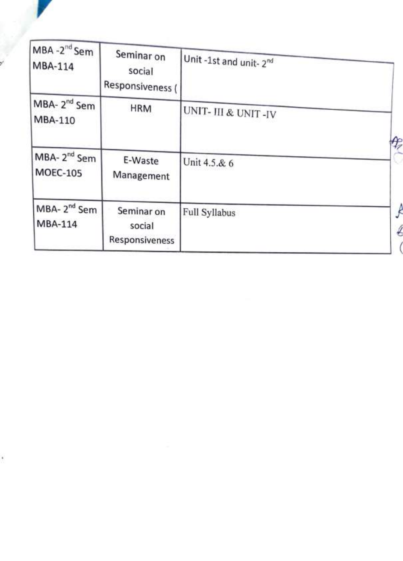

| MBA -2 <sup>nd</sup> Sem<br>MBA-114        | Seminar on<br>social<br>Responsiveness ( | Unit -1st and unit- 2 <sup>nd</sup> |   |
|--------------------------------------------|------------------------------------------|-------------------------------------|---|
| MBA-2 <sup>nd</sup> Sem<br>MBA-110         | <b>HRM</b>                               | UNIT- III & UNIT-IV                 |   |
| MBA-2 <sup>nd</sup> Sem<br><b>MOEC-105</b> | E-Waste<br>Management                    | Unit 4.5.& 6                        | Þ |
| MBA-2 <sup>nd</sup> Sem<br>MBA-114         | Seminar on<br>social<br>Responsiveness   | Full Syllabus                       |   |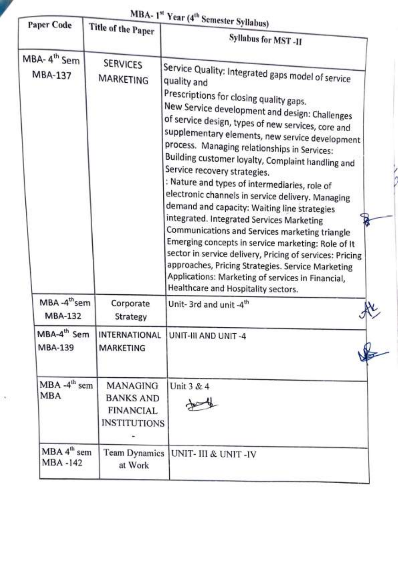|                                    |                                                                         | MBA-1 <sup>st</sup> Year (4 <sup>th</sup> Semester Syllabus)                                                                                                                                                                                                                                                                                                                                                                                                                                                                                                                                                                                                                                                                                                                                                                                                                                                                        |
|------------------------------------|-------------------------------------------------------------------------|-------------------------------------------------------------------------------------------------------------------------------------------------------------------------------------------------------------------------------------------------------------------------------------------------------------------------------------------------------------------------------------------------------------------------------------------------------------------------------------------------------------------------------------------------------------------------------------------------------------------------------------------------------------------------------------------------------------------------------------------------------------------------------------------------------------------------------------------------------------------------------------------------------------------------------------|
| <b>Paper Code</b>                  | Title of the Paper                                                      | Syllabus for MST-II                                                                                                                                                                                                                                                                                                                                                                                                                                                                                                                                                                                                                                                                                                                                                                                                                                                                                                                 |
| MBA-4 <sup>th</sup> Sem<br>MBA-137 | <b>SERVICES</b><br>MARKETING                                            | Service Quality: Integrated gaps model of service<br>quality and<br>Prescriptions for closing quality gaps.<br>New Service development and design: Challenges<br>of service design, types of new services, core and<br>supplementary elements, new service development<br>process. Managing relationships in Services:<br>Building customer loyalty, Complaint handling and<br>Service recovery strategies.<br>: Nature and types of intermediaries, role of<br>electronic channels in service delivery. Managing<br>demand and capacity: Waiting line strategies<br>integrated. Integrated Services Marketing<br>Communications and Services marketing triangle<br>Emerging concepts in service marketing: Role of It<br>sector in service delivery, Pricing of services: Pricing<br>approaches, Pricing Strategies. Service Marketing<br>Applications: Marketing of services in Financial,<br>Healthcare and Hospitality sectors. |
| MBA-4 <sup>th</sup> sem<br>MBA-132 | Corporate<br>Strategy                                                   | Unit-3rd and unit -4th<br>$\mathbf{\omega}$                                                                                                                                                                                                                                                                                                                                                                                                                                                                                                                                                                                                                                                                                                                                                                                                                                                                                         |
| MBA-4 <sup>th</sup> Sem<br>MBA-139 | <b>INTERNATIONAL</b><br><b>MARKETING</b>                                | UNIT-III AND UNIT-4                                                                                                                                                                                                                                                                                                                                                                                                                                                                                                                                                                                                                                                                                                                                                                                                                                                                                                                 |
| $MBA -4th$ sem<br><b>MBA</b>       | MANAGING<br><b>BANKS AND</b><br><b>FINANCIAL</b><br><b>INSTITUTIONS</b> | Unit 3 & 4                                                                                                                                                                                                                                                                                                                                                                                                                                                                                                                                                                                                                                                                                                                                                                                                                                                                                                                          |
| $MBA 4th$ sem<br>MBA -142          | at Work                                                                 | Team Dynamics   UNIT- III & UNIT -IV                                                                                                                                                                                                                                                                                                                                                                                                                                                                                                                                                                                                                                                                                                                                                                                                                                                                                                |

 $\langle \cdot \rangle$